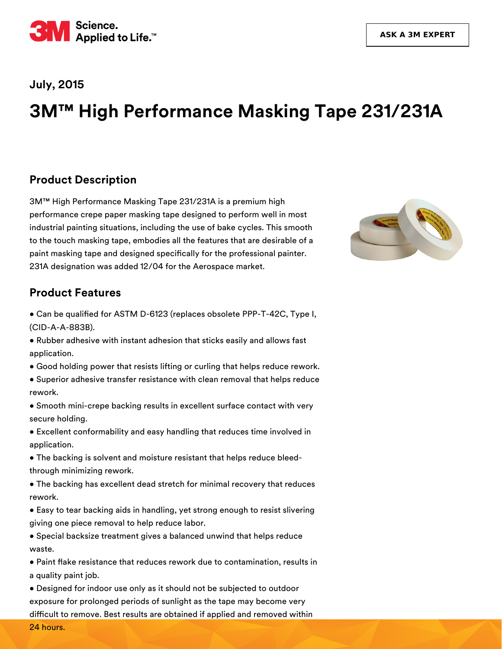

#### **July, 2015**

# **3M™ High Performance Masking Tape 231/231A**

#### **Product Description**

3M™ High Performance Masking Tape 231/231A is a premium high performance crepe paper masking tape designed to perform well in most industrial painting situations, including the use of bake cycles. This smooth to the touch masking tape, embodies all the features that are desirable of a paint masking tape and designed specifically for the professional painter. 231A designation was added 12/04 for the Aerospace market.



#### **Product Features**

• Can be qualified for ASTM D-6123 (replaces obsolete PPP-T-42C, Type I, (CID-A-A-883B).

- Rubber adhesive with instant adhesion that sticks easily and allows fast application.
- Good holding power that resists lifting or curling that helps reduce rework.
- Superior adhesive transfer resistance with clean removal that helps reduce rework.
- Smooth mini-crepe backing results in excellent surface contact with very secure holding.
- Excellent conformability and easy handling that reduces time involved in application.
- The backing is solvent and moisture resistant that helps reduce bleedthrough minimizing rework.
- The backing has excellent dead stretch for minimal recovery that reduces rework.
- Easy to tear backing aids in handling, yet strong enough to resist slivering giving one piece removal to help reduce labor.
- Special backsize treatment gives a balanced unwind that helps reduce waste.
- Paint flake resistance that reduces rework due to contamination, results in a quality paint job.
- Designed for indoor use only as it should not be subjected to outdoor exposure for prolonged periods of sunlight as the tape may become very difficult to remove. Best results are obtained if applied and removed within

24 hours.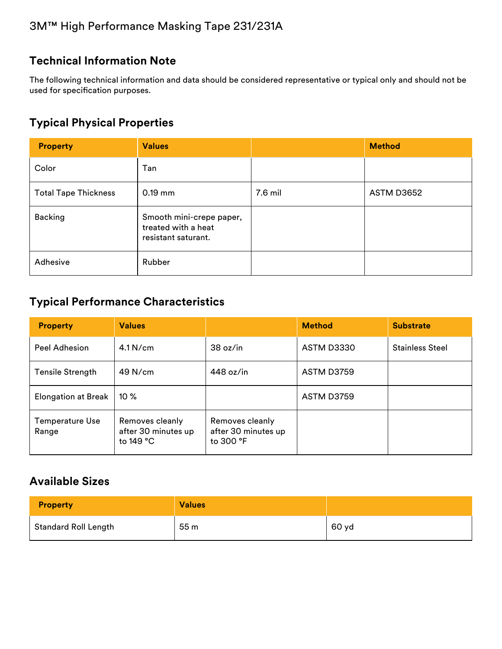# **Technical Information Note**

The following technical information and data should be considered representative or typical only and should not be used for specification purposes.

## **Typical Physical Properties**

| <b>Property</b>             | <b>Values</b>                                                          |         | <b>Method</b> |
|-----------------------------|------------------------------------------------------------------------|---------|---------------|
| Color                       | Tan                                                                    |         |               |
| <b>Total Tape Thickness</b> | $0.19$ mm                                                              | 7.6 mil | ASTM D3652    |
| <b>Backing</b>              | Smooth mini-crepe paper,<br>treated with a heat<br>resistant saturant. |         |               |
| Adhesive                    | Rubber                                                                 |         |               |

#### **Typical Performance Characteristics**

| <b>Property</b>            | <b>Values</b>                                         |                                                     | <b>Method</b> | <b>Substrate</b>       |
|----------------------------|-------------------------------------------------------|-----------------------------------------------------|---------------|------------------------|
| Peel Adhesion              | $4.1$ N/cm                                            | 38 oz/in                                            | ASTM D3330    | <b>Stainless Steel</b> |
| <b>Tensile Strength</b>    | $49$ N/cm                                             | 448 oz/in                                           | ASTM D3759    |                        |
| <b>Elongation at Break</b> | $10\%$                                                |                                                     | ASTM D3759    |                        |
| Temperature Use<br>Range   | Removes cleanly<br>after 30 minutes up<br>to $149 °C$ | Removes cleanly<br>after 30 minutes up<br>to 300 °F |               |                        |

# **Available Sizes**

| <b>Property</b>             | <b>Values</b> |       |
|-----------------------------|---------------|-------|
| <b>Standard Roll Length</b> | 55m           | 60 yd |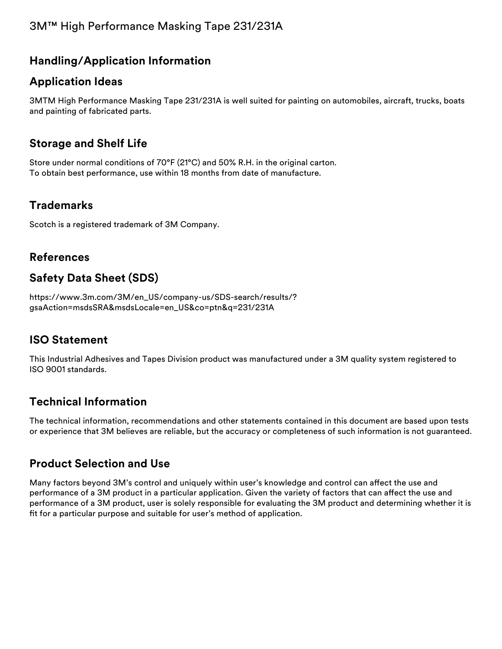# 3M™ High Performance Masking Tape 231/231A

## **Handling/Application Information**

#### **Application Ideas**

3MTM High Performance Masking Tape 231/231A is well suited for painting on automobiles, aircraft, trucks, boats and painting of fabricated parts.

## **Storage and Shelf Life**

Store under normal conditions of 70°F (21°C) and 50% R.H. in the original carton. To obtain best performance, use within 18 months from date of manufacture.

#### **Trademarks**

Scotch is a registered trademark of 3M Company.

#### **References**

# **Safety Data Sheet (SDS)**

[https://www.3m.com/3M/en\\_US/company-us/SDS-search/results/?](https://www.3m.com/3M/en_US/company-us/SDS-search/results/?gsaAction=msdsSRA&msdsLocale=en_US&co=ptn&q=231/231A) gsaAction=msdsSRA&msdsLocale=en\_US&co=ptn&q=231/231A

#### **ISO Statement**

This Industrial Adhesives and Tapes Division product was manufactured under a 3M quality system registered to ISO 9001 standards.

# **Technical Information**

The technical information, recommendations and other statements contained in this document are based upon tests or experience that 3M believes are reliable, but the accuracy or completeness of such information is not guaranteed.

#### **Product Selection and Use**

Many factors beyond 3M's control and uniquely within user's knowledge and control can affect the use and performance of a 3M product in a particular application. Given the variety of factors that can affect the use and performance of a 3M product, user is solely responsible for evaluating the 3M product and determining whether it is fit for a particular purpose and suitable for user's method of application.